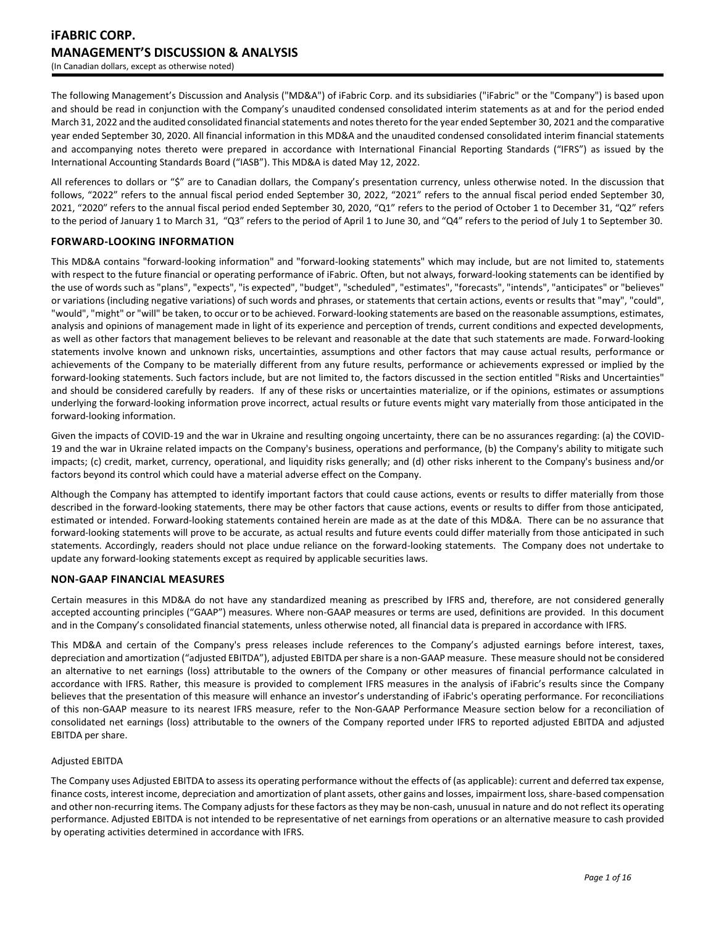The following Management's Discussion and Analysis ("MD&A") of iFabric Corp. and its subsidiaries ("iFabric" or the "Company") is based upon and should be read in conjunction with the Company's unaudited condensed consolidated interim statements as at and for the period ended March 31, 2022 and the audited consolidated financial statements and notes thereto for the year ended September 30, 2021 and the comparative year ended September 30, 2020. All financial information in this MD&A and the unaudited condensed consolidated interim financial statements and accompanying notes thereto were prepared in accordance with International Financial Reporting Standards ("IFRS") as issued by the International Accounting Standards Board ("IASB"). This MD&A is dated May 12, 2022.

All references to dollars or "\$" are to Canadian dollars, the Company's presentation currency, unless otherwise noted. In the discussion that follows, "2022" refers to the annual fiscal period ended September 30, 2022, "2021" refers to the annual fiscal period ended September 30, 2021, "2020" refers to the annual fiscal period ended September 30, 2020, "Q1" refers to the period of October 1 to December 31, "Q2" refers to the period of January 1 to March 31, "Q3" refers to the period of April 1 to June 30, and "Q4" refers to the period of July 1 to September 30.

# **FORWARD-LOOKING INFORMATION**

This MD&A contains "forward-looking information" and "forward-looking statements" which may include, but are not limited to, statements with respect to the future financial or operating performance of iFabric. Often, but not always, forward-looking statements can be identified by the use of words such as "plans", "expects", "is expected", "budget", "scheduled", "estimates", "forecasts", "intends", "anticipates" or "believes" or variations (including negative variations) of such words and phrases, or statements that certain actions, events or results that "may", "could", "would", "might" or "will" be taken, to occur or to be achieved. Forward-looking statements are based on the reasonable assumptions, estimates, analysis and opinions of management made in light of its experience and perception of trends, current conditions and expected developments, as well as other factors that management believes to be relevant and reasonable at the date that such statements are made. Forward-looking statements involve known and unknown risks, uncertainties, assumptions and other factors that may cause actual results, performance or achievements of the Company to be materially different from any future results, performance or achievements expressed or implied by the forward-looking statements. Such factors include, but are not limited to, the factors discussed in the section entitled "Risks and Uncertainties" and should be considered carefully by readers. If any of these risks or uncertainties materialize, or if the opinions, estimates or assumptions underlying the forward-looking information prove incorrect, actual results or future events might vary materially from those anticipated in the forward-looking information.

Given the impacts of COVID-19 and the war in Ukraine and resulting ongoing uncertainty, there can be no assurances regarding: (a) the COVID-19 and the war in Ukraine related impacts on the Company's business, operations and performance, (b) the Company's ability to mitigate such impacts; (c) credit, market, currency, operational, and liquidity risks generally; and (d) other risks inherent to the Company's business and/or factors beyond its control which could have a material adverse effect on the Company.

Although the Company has attempted to identify important factors that could cause actions, events or results to differ materially from those described in the forward-looking statements, there may be other factors that cause actions, events or results to differ from those anticipated, estimated or intended. Forward-looking statements contained herein are made as at the date of this MD&A. There can be no assurance that forward-looking statements will prove to be accurate, as actual results and future events could differ materially from those anticipated in such statements. Accordingly, readers should not place undue reliance on the forward-looking statements. The Company does not undertake to update any forward-looking statements except as required by applicable securities laws.

# **NON-GAAP FINANCIAL MEASURES**

Certain measures in this MD&A do not have any standardized meaning as prescribed by IFRS and, therefore, are not considered generally accepted accounting principles ("GAAP") measures. Where non-GAAP measures or terms are used, definitions are provided. In this document and in the Company's consolidated financial statements, unless otherwise noted, all financial data is prepared in accordance with IFRS.

This MD&A and certain of the Company's press releases include references to the Company's adjusted earnings before interest, taxes, depreciation and amortization ("adjusted EBITDA"), adjusted EBITDA per share is a non-GAAP measure. These measure should not be considered an alternative to net earnings (loss) attributable to the owners of the Company or other measures of financial performance calculated in accordance with IFRS. Rather, this measure is provided to complement IFRS measures in the analysis of iFabric's results since the Company believes that the presentation of this measure will enhance an investor's understanding of iFabric's operating performance. For reconciliations of this non-GAAP measure to its nearest IFRS measure, refer to the Non-GAAP Performance Measure section below for a reconciliation of consolidated net earnings (loss) attributable to the owners of the Company reported under IFRS to reported adjusted EBITDA and adjusted EBITDA per share.

# Adjusted EBITDA

The Company uses Adjusted EBITDA to assess its operating performance without the effects of (as applicable): current and deferred tax expense, finance costs, interest income, depreciation and amortization of plant assets, other gains and losses, impairment loss, share-based compensation and other non-recurring items. The Company adjusts for these factors as they may be non-cash, unusual in nature and do not reflect its operating performance. Adjusted EBITDA is not intended to be representative of net earnings from operations or an alternative measure to cash provided by operating activities determined in accordance with IFRS.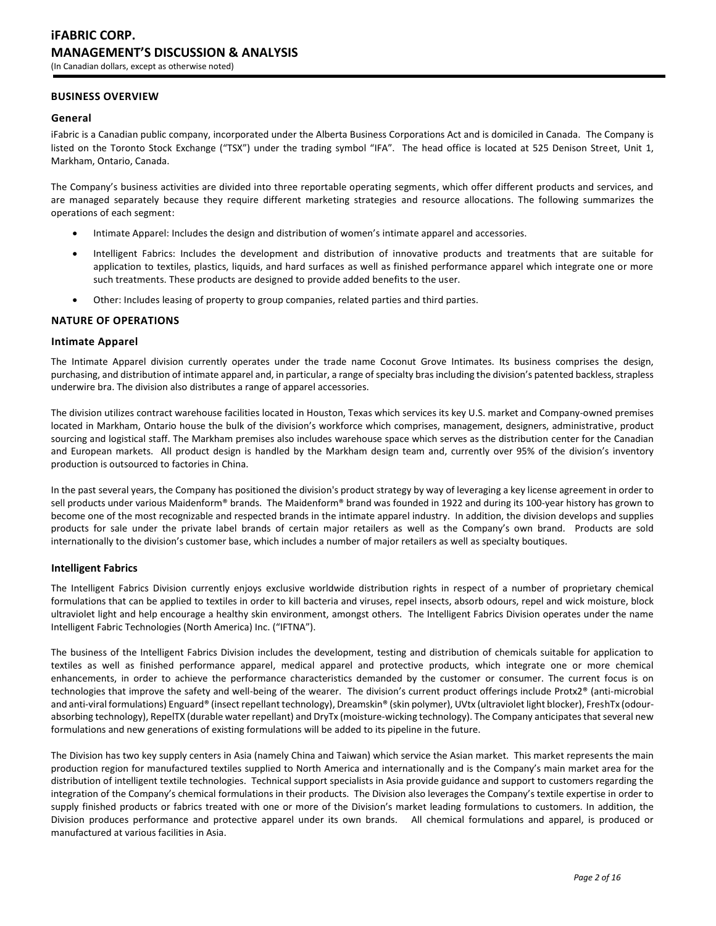# **BUSINESS OVERVIEW**

#### **General**

iFabric is a Canadian public company, incorporated under the Alberta Business Corporations Act and is domiciled in Canada. The Company is listed on the Toronto Stock Exchange ("TSX") under the trading symbol "IFA". The head office is located at 525 Denison Street, Unit 1, Markham, Ontario, Canada.

The Company's business activities are divided into three reportable operating segments, which offer different products and services, and are managed separately because they require different marketing strategies and resource allocations. The following summarizes the operations of each segment:

- Intimate Apparel: Includes the design and distribution of women's intimate apparel and accessories.
- Intelligent Fabrics: Includes the development and distribution of innovative products and treatments that are suitable for application to textiles, plastics, liquids, and hard surfaces as well as finished performance apparel which integrate one or more such treatments. These products are designed to provide added benefits to the user.
- Other: Includes leasing of property to group companies, related parties and third parties.

#### **NATURE OF OPERATIONS**

#### **Intimate Apparel**

The Intimate Apparel division currently operates under the trade name Coconut Grove Intimates. Its business comprises the design, purchasing, and distribution of intimate apparel and, in particular, a range of specialty bras including the division's patented backless, strapless underwire bra. The division also distributes a range of apparel accessories.

The division utilizes contract warehouse facilities located in Houston, Texas which services its key U.S. market and Company-owned premises located in Markham, Ontario house the bulk of the division's workforce which comprises, management, designers, administrative, product sourcing and logistical staff. The Markham premises also includes warehouse space which serves as the distribution center for the Canadian and European markets. All product design is handled by the Markham design team and, currently over 95% of the division's inventory production is outsourced to factories in China.

In the past several years, the Company has positioned the division's product strategy by way of leveraging a key license agreement in order to sell products under various Maidenform® brands. The Maidenform® brand was founded in 1922 and during its 100-year history has grown to become one of the most recognizable and respected brands in the intimate apparel industry. In addition, the division develops and supplies products for sale under the private label brands of certain major retailers as well as the Company's own brand. Products are sold internationally to the division's customer base, which includes a number of major retailers as well as specialty boutiques.

#### **Intelligent Fabrics**

The Intelligent Fabrics Division currently enjoys exclusive worldwide distribution rights in respect of a number of proprietary chemical formulations that can be applied to textiles in order to kill bacteria and viruses, repel insects, absorb odours, repel and wick moisture, block ultraviolet light and help encourage a healthy skin environment, amongst others. The Intelligent Fabrics Division operates under the name Intelligent Fabric Technologies (North America) Inc. ("IFTNA").

The business of the Intelligent Fabrics Division includes the development, testing and distribution of chemicals suitable for application to textiles as well as finished performance apparel, medical apparel and protective products, which integrate one or more chemical enhancements, in order to achieve the performance characteristics demanded by the customer or consumer. The current focus is on technologies that improve the safety and well-being of the wearer. The division's current product offerings include Protx2® (anti-microbial and anti-viral formulations) Enguard® (insect repellant technology), Dreamskin® (skin polymer), UVtx (ultraviolet light blocker), FreshTx (odourabsorbing technology), RepelTX (durable water repellant) and DryTx (moisture-wicking technology). The Company anticipates that several new formulations and new generations of existing formulations will be added to its pipeline in the future.

The Division has two key supply centers in Asia (namely China and Taiwan) which service the Asian market. This market represents the main production region for manufactured textiles supplied to North America and internationally and is the Company's main market area for the distribution of intelligent textile technologies. Technical support specialists in Asia provide guidance and support to customers regarding the integration of the Company's chemical formulations in their products. The Division also leverages the Company's textile expertise in order to supply finished products or fabrics treated with one or more of the Division's market leading formulations to customers. In addition, the Division produces performance and protective apparel under its own brands. All chemical formulations and apparel, is produced or manufactured at various facilities in Asia.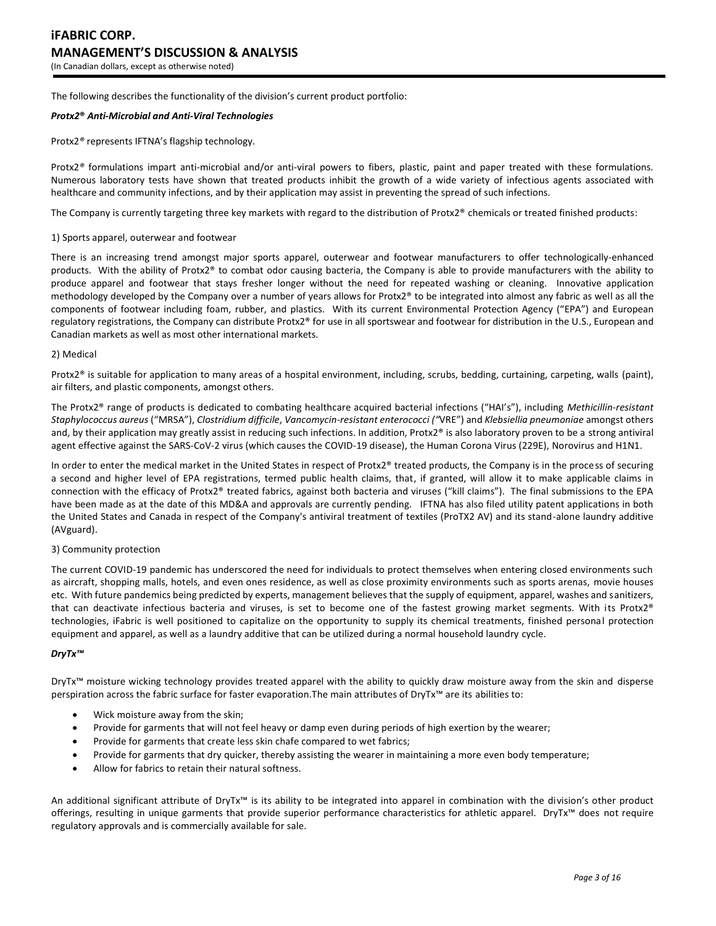The following describes the functionality of the division's current product portfolio:

#### *Protx2***®** *Anti-Microbial and Anti-Viral Technologies*

Protx2*®* represents IFTNA's flagship technology.

Protx2*®* formulations impart anti-microbial and/or anti-viral powers to fibers, plastic, paint and paper treated with these formulations. Numerous laboratory tests have shown that treated products inhibit the growth of a wide variety of infectious agents associated with healthcare and community infections, and by their application may assist in preventing the spread of such infections.

The Company is currently targeting three key markets with regard to the distribution of Protx2® chemicals or treated finished products:

#### 1) Sports apparel, outerwear and footwear

There is an increasing trend amongst major sports apparel, outerwear and footwear manufacturers to offer technologically-enhanced products. With the ability of Protx2® to combat odor causing bacteria, the Company is able to provide manufacturers with the ability to produce apparel and footwear that stays fresher longer without the need for repeated washing or cleaning. Innovative application methodology developed by the Company over a number of years allows for Protx2® to be integrated into almost any fabric as well as all the components of footwear including foam, rubber, and plastics. With its current Environmental Protection Agency ("EPA") and European regulatory registrations, the Company can distribute Protx2® for use in all sportswear and footwear for distribution in the U.S., European and Canadian markets as well as most other international markets.

#### 2) Medical

Protx2<sup>®</sup> is suitable for application to many areas of a hospital environment, including, scrubs, bedding, curtaining, carpeting, walls (paint), air filters, and plastic components, amongst others.

The Protx2® range of products is dedicated to combating healthcare acquired bacterial infections ("HAI's"), including *Methicillin-resistant Staphylococcus aureus* ("MRSA"), *Clostridium difficile*, *Vancomycin-resistant enterococci ("*VRE") and *Klebsiellia pneumoniae* amongst others and, by their application may greatly assist in reducing such infections. In addition, Protx2® is also laboratory proven to be a strong antiviral agent effective against the SARS-CoV-2 virus (which causes the COVID-19 disease), the Human Corona Virus (229E), Norovirus and H1N1.

In order to enter the medical market in the United States in respect of Protx $2<sup>®</sup>$  treated products, the Company is in the process of securing a second and higher level of EPA registrations, termed public health claims, that, if granted, will allow it to make applicable claims in connection with the efficacy of Protx2® treated fabrics, against both bacteria and viruses ("kill claims"). The final submissions to the EPA have been made as at the date of this MD&A and approvals are currently pending. IFTNA has also filed utility patent applications in both the United States and Canada in respect of the Company's antiviral treatment of textiles (ProTX2 AV) and its stand-alone laundry additive (AVguard).

#### 3) Community protection

The current COVID-19 pandemic has underscored the need for individuals to protect themselves when entering closed environments such as aircraft, shopping malls, hotels, and even ones residence, as well as close proximity environments such as sports arenas, movie houses etc. With future pandemics being predicted by experts, management believes that the supply of equipment, apparel, washes and sanitizers, that can deactivate infectious bacteria and viruses, is set to become one of the fastest growing market segments. With its Protx2® technologies, iFabric is well positioned to capitalize on the opportunity to supply its chemical treatments, finished personal protection equipment and apparel, as well as a laundry additive that can be utilized during a normal household laundry cycle.

#### *DryTx™*

DryTx™ moisture wicking technology provides treated apparel with the ability to quickly draw moisture away from the skin and disperse perspiration across the fabric surface for faster evaporation.The main attributes of DryTx™ are its abilities to:

- Wick moisture away from the skin;
- Provide for garments that will not feel heavy or damp even during periods of high exertion by the wearer;
- Provide for garments that create less skin chafe compared to wet fabrics;
- Provide for garments that dry quicker, thereby assisting the wearer in maintaining a more even body temperature;
- Allow for fabrics to retain their natural softness.

An additional significant attribute of DryTx™ is its ability to be integrated into apparel in combination with the division's other product offerings, resulting in unique garments that provide superior performance characteristics for athletic apparel. DryTx™ does not require regulatory approvals and is commercially available for sale.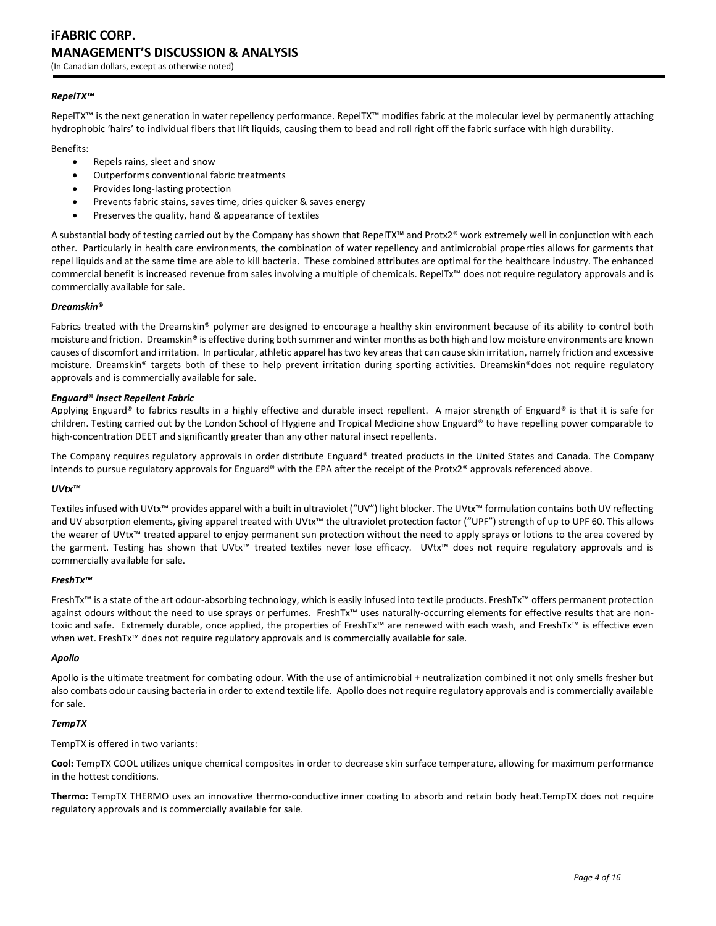# **iFABRIC CORP. MANAGEMENT'S DISCUSSION & ANALYSIS**

(In Canadian dollars, except as otherwise noted)

## *RepelTX™*

RepelTX™ is the next generation in water repellency performance. RepelTX™ modifies fabric at the molecular level by permanently attaching hydrophobic 'hairs' to individual fibers that lift liquids, causing them to bead and roll right off the fabric surface with high durability.

Benefits:

- Repels rains, sleet and snow
- Outperforms conventional fabric treatments
- Provides long-lasting protection
- Prevents fabric stains, saves time, dries quicker & saves energy
- Preserves the quality, hand & appearance of textiles

A substantial body of testing carried out by the Company has shown that RepelTX™ and Protx2® work extremely well in conjunction with each other. Particularly in health care environments, the combination of water repellency and antimicrobial properties allows for garments that repel liquids and at the same time are able to kill bacteria. These combined attributes are optimal for the healthcare industry. The enhanced commercial benefit is increased revenue from sales involving a multiple of chemicals. RepelTx™ does not require regulatory approvals and is commercially available for sale.

#### *Dreamskin***®**

Fabrics treated with the Dreamskin® polymer are designed to encourage a healthy skin environment because of its ability to control both moisture and friction. Dreamskin® is effective during both summer and winter months as both high and low moisture environments are known causes of discomfort and irritation. In particular, athletic apparel has two key areas that can cause skin irritation, namely friction and excessive moisture. Dreamskin® targets both of these to help prevent irritation during sporting activities. Dreamskin®does not require regulatory approvals and is commercially available for sale.

#### *Enguard***®** *Insect Repellent Fabric*

Applying Enguard® to fabrics results in a highly effective and durable insect repellent. A major strength of Enguard® is that it is safe for children. Testing carried out by the London School of Hygiene and Tropical Medicine show Enguard® to have repelling power comparable to high-concentration DEET and significantly greater than any other natural insect repellents.

The Company requires regulatory approvals in order distribute Enguard® treated products in the United States and Canada. The Company intends to pursue regulatory approvals for Enguard® with the EPA after the receipt of the Protx2® approvals referenced above.

## *UVtx™*

Textiles infused with UVtx™ provides apparel with a built in ultraviolet ("UV") light blocker. The UVtx™ formulation contains both UV reflecting and UV absorption elements, giving apparel treated with UVtx™ the ultraviolet protection factor ("UPF") strength of up to UPF 60. This allows the wearer of UVtx™ treated apparel to enjoy permanent sun protection without the need to apply sprays or lotions to the area covered by the garment. Testing has shown that UVtx™ treated textiles never lose efficacy. UVtx™ does not require regulatory approvals and is commercially available for sale.

#### *FreshTx™*

FreshTx™ is a state of the art odour-absorbing technology, which is easily infused into textile products. FreshTx™ offers permanent protection against odours without the need to use sprays or perfumes. FreshTx™ uses naturally-occurring elements for effective results that are nontoxic and safe. Extremely durable, once applied, the properties of FreshTx™ are renewed with each wash, and FreshTx™ is effective even when wet. FreshTx<sup>™</sup> does not require regulatory approvals and is commercially available for sale.

#### *Apollo*

Apollo is the ultimate treatment for combating odour. With the use of antimicrobial + neutralization combined it not only smells fresher but also combats odour causing bacteria in order to extend textile life. Apollo does not require regulatory approvals and is commercially available for sale.

#### *TempTX*

TempTX is offered in two variants:

**Cool:** TempTX COOL utilizes unique chemical composites in order to decrease skin surface temperature, allowing for maximum performance in the hottest conditions.

**Thermo:** TempTX THERMO uses an innovative thermo-conductive inner coating to absorb and retain body heat.TempTX does not require regulatory approvals and is commercially available for sale.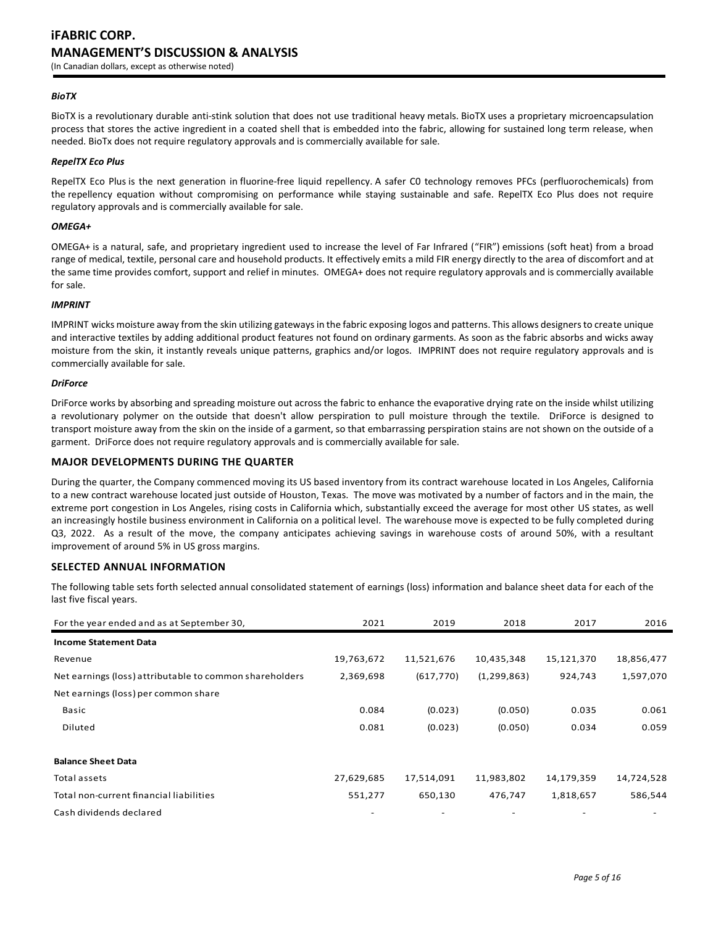#### *BioTX*

BioTX is a revolutionary durable anti-stink solution that does not use traditional heavy metals. BioTX uses a proprietary microencapsulation process that stores the active ingredient in a coated shell that is embedded into the fabric, allowing for sustained long term release, when needed. BioTx does not require regulatory approvals and is commercially available for sale.

#### *RepelTX Eco Plus*

RepelTX Eco Plus is the next generation in fluorine-free liquid repellency. A safer C0 technology removes PFCs (perfluorochemicals) from the repellency equation without compromising on performance while staying sustainable and safe. RepelTX Eco Plus does not require regulatory approvals and is commercially available for sale.

#### *OMEGA+*

OMEGA+ is a natural, safe, and proprietary ingredient used to increase the level of Far Infrared ("FIR") emissions (soft heat) from a broad range of medical, textile, personal care and household products. It effectively emits a mild FIR energy directly to the area of discomfort and at the same time provides comfort, support and relief in minutes. OMEGA+ does not require regulatory approvals and is commercially available for sale.

#### *IMPRINT*

IMPRINT wicks moisture away from the skin utilizing gateways in the fabric exposing logos and patterns. This allows designers to create unique and interactive textiles by adding additional product features not found on ordinary garments. As soon as the fabric absorbs and wicks away moisture from the skin, it instantly reveals unique patterns, graphics and/or logos. IMPRINT does not require regulatory approvals and is commercially available for sale.

#### *DriForce*

DriForce works by absorbing and spreading moisture out across the fabric to enhance the evaporative drying rate on the inside whilst utilizing a revolutionary polymer on the outside that doesn't allow perspiration to pull moisture through the textile. DriForce is designed to transport moisture away from the skin on the inside of a garment, so that embarrassing perspiration stains are not shown on the outside of a garment. DriForce does not require regulatory approvals and is commercially available for sale.

#### **MAJOR DEVELOPMENTS DURING THE QUARTER**

During the quarter, the Company commenced moving its US based inventory from its contract warehouse located in Los Angeles, California to a new contract warehouse located just outside of Houston, Texas. The move was motivated by a number of factors and in the main, the extreme port congestion in Los Angeles, rising costs in California which, substantially exceed the average for most other US states, as well an increasingly hostile business environment in California on a political level. The warehouse move is expected to be fully completed during Q3, 2022. As a result of the move, the company anticipates achieving savings in warehouse costs of around 50%, with a resultant improvement of around 5% in US gross margins.

#### **SELECTED ANNUAL INFORMATION**

The following table sets forth selected annual consolidated statement of earnings (loss) information and balance sheet data for each of the last five fiscal years.

| For the year ended and as at September 30,              | 2021       | 2019       | 2018          | 2017       | 2016       |
|---------------------------------------------------------|------------|------------|---------------|------------|------------|
| <b>Income Statement Data</b>                            |            |            |               |            |            |
| Revenue                                                 | 19,763,672 | 11,521,676 | 10,435,348    | 15,121,370 | 18,856,477 |
| Net earnings (loss) attributable to common shareholders | 2,369,698  | (617, 770) | (1, 299, 863) | 924,743    | 1,597,070  |
| Net earnings (loss) per common share                    |            |            |               |            |            |
| Basic                                                   | 0.084      | (0.023)    | (0.050)       | 0.035      | 0.061      |
| Diluted                                                 | 0.081      | (0.023)    | (0.050)       | 0.034      | 0.059      |
|                                                         |            |            |               |            |            |
| <b>Balance Sheet Data</b>                               |            |            |               |            |            |
| Total assets                                            | 27,629,685 | 17,514,091 | 11,983,802    | 14,179,359 | 14,724,528 |
| Total non-current financial liabilities                 | 551,277    | 650,130    | 476,747       | 1,818,657  | 586,544    |
| Cash dividends declared                                 |            |            |               |            |            |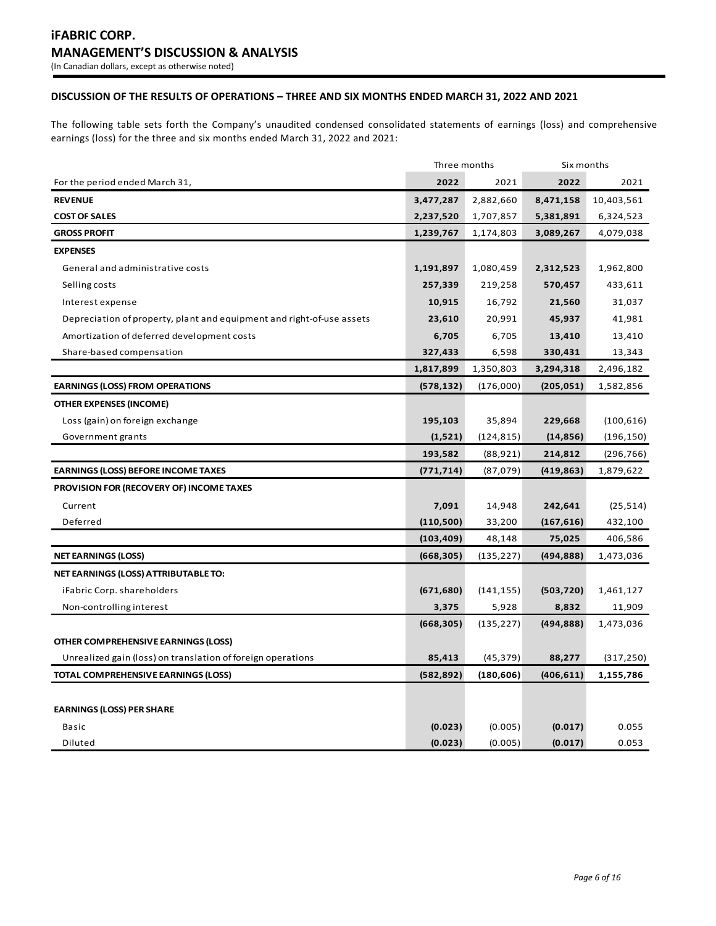# **DISCUSSION OF THE RESULTS OF OPERATIONS – THREE AND SIX MONTHS ENDED MARCH 31, 2022 AND 2021**

The following table sets forth the Company's unaudited condensed consolidated statements of earnings (loss) and comprehensive earnings (loss) for the three and six months ended March 31, 2022 and 2021:

|                                                                       | Three months |            | Six months |            |
|-----------------------------------------------------------------------|--------------|------------|------------|------------|
| For the period ended March 31,                                        | 2022         | 2021       | 2022       | 2021       |
| <b>REVENUE</b>                                                        | 3,477,287    | 2,882,660  | 8,471,158  | 10,403,561 |
| <b>COST OF SALES</b>                                                  | 2,237,520    | 1,707,857  | 5,381,891  | 6,324,523  |
| <b>GROSS PROFIT</b>                                                   | 1,239,767    | 1,174,803  | 3,089,267  | 4,079,038  |
| <b>EXPENSES</b>                                                       |              |            |            |            |
| General and administrative costs                                      | 1,191,897    | 1,080,459  | 2,312,523  | 1,962,800  |
| Selling costs                                                         | 257,339      | 219,258    | 570,457    | 433,611    |
| Interest expense                                                      | 10,915       | 16,792     | 21,560     | 31,037     |
| Depreciation of property, plant and equipment and right-of-use assets | 23,610       | 20,991     | 45,937     | 41,981     |
| Amortization of deferred development costs                            | 6,705        | 6,705      | 13,410     | 13,410     |
| Share-based compensation                                              | 327,433      | 6,598      | 330,431    | 13,343     |
|                                                                       | 1,817,899    | 1,350,803  | 3,294,318  | 2,496,182  |
| <b>EARNINGS (LOSS) FROM OPERATIONS</b>                                | (578, 132)   | (176,000)  | (205, 051) | 1,582,856  |
| <b>OTHER EXPENSES (INCOME)</b>                                        |              |            |            |            |
| Loss (gain) on foreign exchange                                       | 195,103      | 35,894     | 229,668    | (100, 616) |
| Government grants                                                     | (1,521)      | (124, 815) | (14, 856)  | (196, 150) |
|                                                                       | 193,582      | (88, 921)  | 214,812    | (296, 766) |
| <b>EARNINGS (LOSS) BEFORE INCOME TAXES</b>                            | (771, 714)   | (87,079)   | (419, 863) | 1,879,622  |
| PROVISION FOR (RECOVERY OF) INCOME TAXES                              |              |            |            |            |
| Current                                                               | 7,091        | 14,948     | 242,641    | (25, 514)  |
| Deferred                                                              | (110, 500)   | 33,200     | (167, 616) | 432,100    |
|                                                                       | (103, 409)   | 48,148     | 75,025     | 406,586    |
| <b>NET EARNINGS (LOSS)</b>                                            | (668, 305)   | (135, 227) | (494,888)  | 1,473,036  |
| NET EARNINGS (LOSS) ATTRIBUTABLE TO:                                  |              |            |            |            |
| iFabric Corp. shareholders                                            | (671, 680)   | (141, 155) | (503, 720) | 1,461,127  |
| Non-controlling interest                                              | 3,375        | 5,928      | 8,832      | 11,909     |
|                                                                       | (668, 305)   | (135, 227) | (494, 888) | 1,473,036  |
| OTHER COMPREHENSIVE EARNINGS (LOSS)                                   |              |            |            |            |
| Unrealized gain (loss) on translation of foreign operations           | 85,413       | (45, 379)  | 88,277     | (317, 250) |
| TOTAL COMPREHENSIVE EARNINGS (LOSS)                                   | (582, 892)   | (180, 606) | (406, 611) | 1,155,786  |
|                                                                       |              |            |            |            |
| <b>EARNINGS (LOSS) PER SHARE</b>                                      |              |            |            |            |
| Basic                                                                 | (0.023)      | (0.005)    | (0.017)    | 0.055      |
| Diluted                                                               | (0.023)      | (0.005)    | (0.017)    | 0.053      |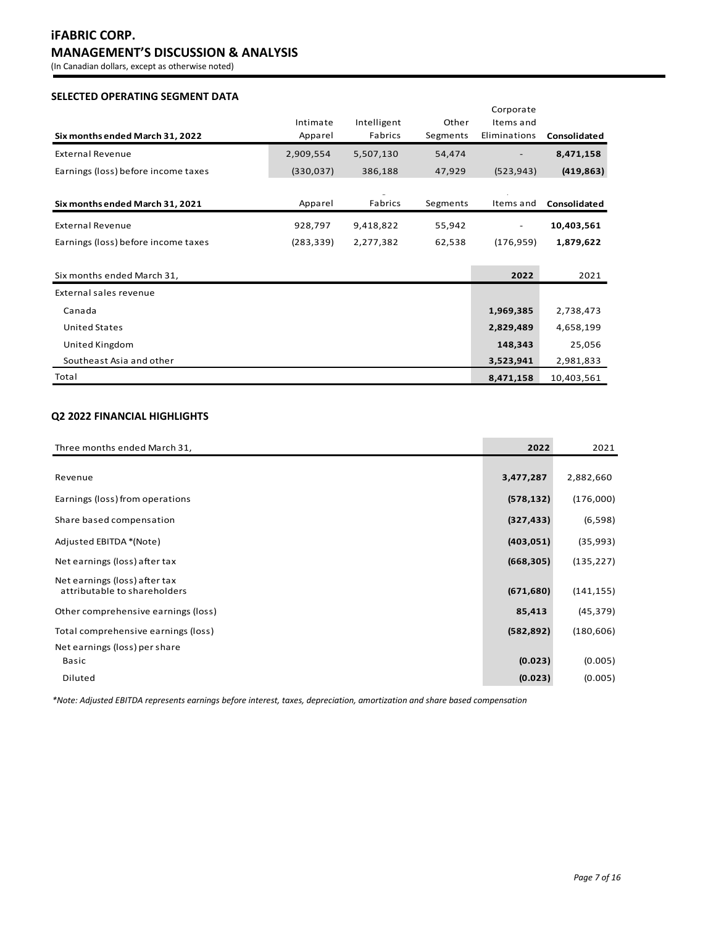# **iFABRIC CORP. MANAGEMENT'S DISCUSSION & ANALYSIS**

(In Canadian dollars, except as otherwise noted)

# **SELECTED OPERATING SEGMENT DATA**

| Six months ended March 31, 2022     | Intimate<br>Apparel | Intelligent<br>Fabrics | Other<br>Segments | Corporate<br>Items and<br>Eliminations | Consolidated |
|-------------------------------------|---------------------|------------------------|-------------------|----------------------------------------|--------------|
| <b>External Revenue</b>             | 2,909,554           | 5,507,130              | 54,474            |                                        | 8,471,158    |
| Earnings (loss) before income taxes | (330,037)           | 386,188                | 47,929            | (523, 943)                             | (419, 863)   |
|                                     |                     | $\check{ }$            |                   |                                        |              |
| Six months ended March 31, 2021     | Apparel             | Fabrics                | Segments          | Items and                              | Consolidated |
| <b>External Revenue</b>             | 928,797             | 9,418,822              | 55,942            |                                        | 10,403,561   |
| Earnings (loss) before income taxes | (283, 339)          | 2,277,382              | 62,538            | (176, 959)                             | 1,879,622    |
|                                     |                     |                        |                   |                                        |              |
| Six months ended March 31,          |                     |                        |                   | 2022                                   | 2021         |
| External sales revenue              |                     |                        |                   |                                        |              |
| Canada                              |                     |                        |                   | 1,969,385                              | 2,738,473    |
| <b>United States</b>                |                     |                        |                   | 2,829,489                              | 4,658,199    |
| United Kingdom                      |                     |                        |                   | 148,343                                | 25,056       |
| Southeast Asia and other            |                     |                        |                   | 3,523,941                              | 2,981,833    |
| Total                               |                     |                        |                   | 8,471,158                              | 10,403,561   |

# **Q2 2022 FINANCIAL HIGHLIGHTS**

| Three months ended March 31,        | 2022       | 2021       |
|-------------------------------------|------------|------------|
|                                     |            |            |
| Revenue                             | 3,477,287  | 2,882,660  |
| Earnings (loss) from operations     | (578, 132) | (176,000)  |
| Share based compensation            | (327, 433) | (6,598)    |
| Adjusted EBITDA *(Note)             | (403, 051) | (35,993)   |
| Net earnings (loss) after tax       | (668, 305) | (135, 227) |
| Net earnings (loss) after tax       |            |            |
| attributable to shareholders        | (671, 680) | (141, 155) |
| Other comprehensive earnings (loss) | 85,413     | (45, 379)  |
| Total comprehensive earnings (loss) | (582, 892) | (180, 606) |
| Net earnings (loss) per share       |            |            |
| Basic                               | (0.023)    | (0.005)    |
| Diluted                             | (0.023)    | (0.005)    |

*\*Note: Adjusted EBITDA represents earnings before interest, taxes, depreciation, amortization and share based compensation*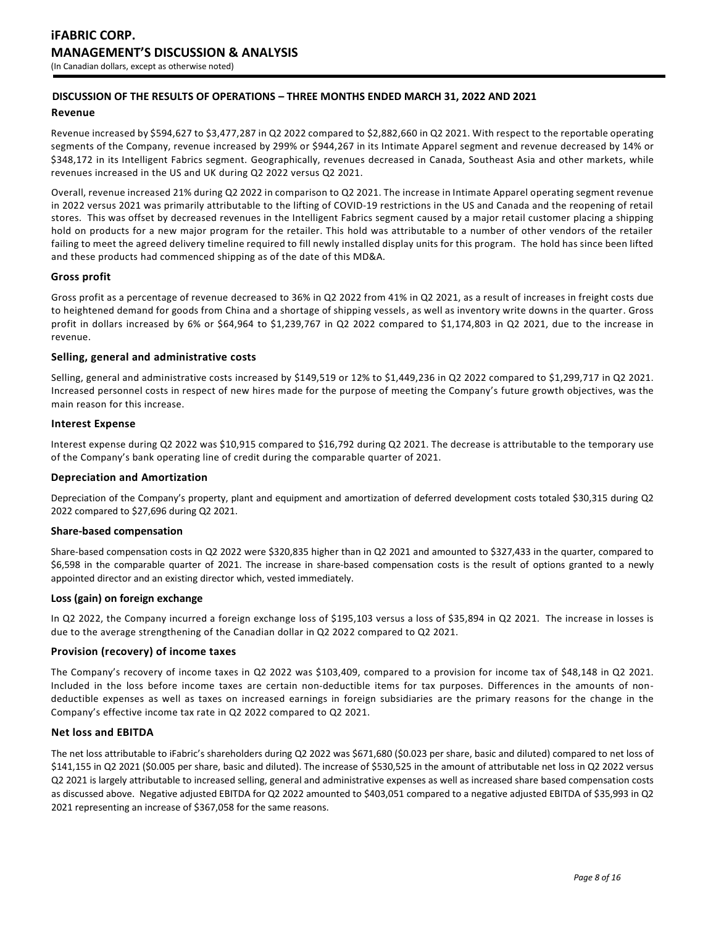# **DISCUSSION OF THE RESULTS OF OPERATIONS – THREE MONTHS ENDED MARCH 31, 2022 AND 2021**

#### **Revenue**

Revenue increased by \$594,627 to \$3,477,287 in Q2 2022 compared to \$2,882,660 in Q2 2021. With respect to the reportable operating segments of the Company, revenue increased by 299% or \$944,267 in its Intimate Apparel segment and revenue decreased by 14% or \$348,172 in its Intelligent Fabrics segment. Geographically, revenues decreased in Canada, Southeast Asia and other markets, while revenues increased in the US and UK during Q2 2022 versus Q2 2021.

Overall, revenue increased 21% during Q2 2022 in comparison to Q2 2021. The increase in Intimate Apparel operating segment revenue in 2022 versus 2021 was primarily attributable to the lifting of COVID-19 restrictions in the US and Canada and the reopening of retail stores. This was offset by decreased revenues in the Intelligent Fabrics segment caused by a major retail customer placing a shipping hold on products for a new major program for the retailer. This hold was attributable to a number of other vendors of the retailer failing to meet the agreed delivery timeline required to fill newly installed display units for this program. The hold has since been lifted and these products had commenced shipping as of the date of this MD&A.

## **Gross profit**

Gross profit as a percentage of revenue decreased to 36% in Q2 2022 from 41% in Q2 2021, as a result of increases in freight costs due to heightened demand for goods from China and a shortage of shipping vessels, as well as inventory write downs in the quarter. Gross profit in dollars increased by 6% or \$64,964 to \$1,239,767 in Q2 2022 compared to \$1,174,803 in Q2 2021, due to the increase in revenue.

#### **Selling, general and administrative costs**

Selling, general and administrative costs increased by \$149,519 or 12% to \$1,449,236 in Q2 2022 compared to \$1,299,717 in Q2 2021. Increased personnel costs in respect of new hires made for the purpose of meeting the Company's future growth objectives, was the main reason for this increase.

#### **Interest Expense**

Interest expense during Q2 2022 was \$10,915 compared to \$16,792 during Q2 2021. The decrease is attributable to the temporary use of the Company's bank operating line of credit during the comparable quarter of 2021.

#### **Depreciation and Amortization**

Depreciation of the Company's property, plant and equipment and amortization of deferred development costs totaled \$30,315 during Q2 2022 compared to \$27,696 during Q2 2021.

#### **Share-based compensation**

Share-based compensation costs in Q2 2022 were \$320,835 higher than in Q2 2021 and amounted to \$327,433 in the quarter, compared to \$6,598 in the comparable quarter of 2021. The increase in share-based compensation costs is the result of options granted to a newly appointed director and an existing director which, vested immediately.

#### **Loss (gain) on foreign exchange**

In Q2 2022, the Company incurred a foreign exchange loss of \$195,103 versus a loss of \$35,894 in Q2 2021. The increase in losses is due to the average strengthening of the Canadian dollar in Q2 2022 compared to Q2 2021.

#### **Provision (recovery) of income taxes**

The Company's recovery of income taxes in Q2 2022 was \$103,409, compared to a provision for income tax of \$48,148 in Q2 2021. Included in the loss before income taxes are certain non-deductible items for tax purposes. Differences in the amounts of nondeductible expenses as well as taxes on increased earnings in foreign subsidiaries are the primary reasons for the change in the Company's effective income tax rate in Q2 2022 compared to Q2 2021.

#### **Net loss and EBITDA**

The net loss attributable to iFabric's shareholders during Q2 2022 was \$671,680 (\$0.023 per share, basic and diluted) compared to net loss of \$141,155 in Q2 2021 (\$0.005 per share, basic and diluted). The increase of \$530,525 in the amount of attributable net loss in Q2 2022 versus Q2 2021 is largely attributable to increased selling, general and administrative expenses as well as increased share based compensation costs as discussed above. Negative adjusted EBITDA for Q2 2022 amounted to \$403,051 compared to a negative adjusted EBITDA of \$35,993 in Q2 2021 representing an increase of \$367,058 for the same reasons.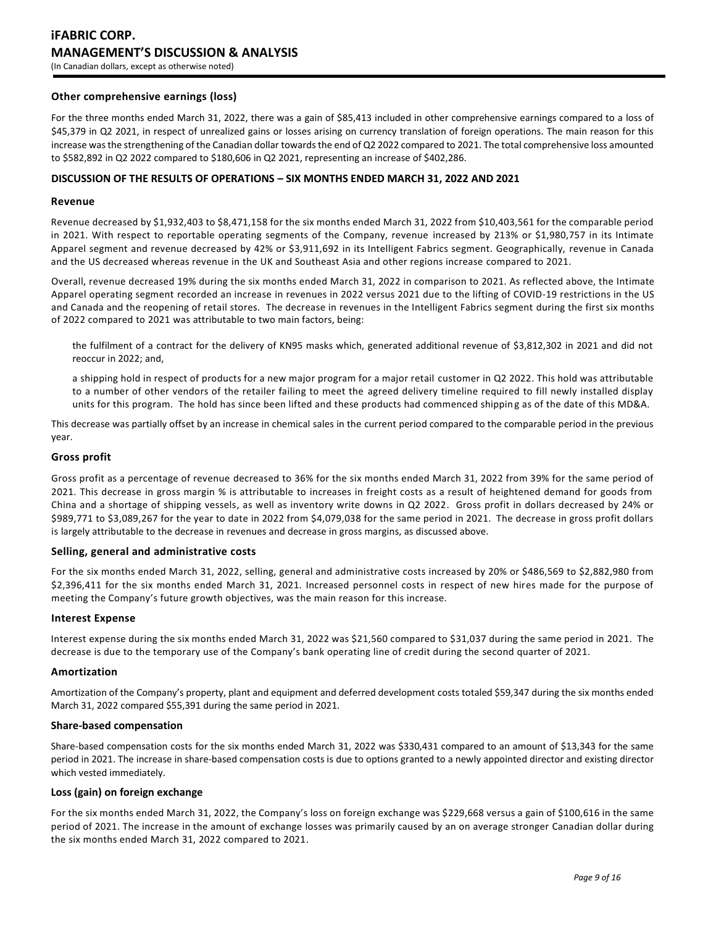# **iFABRIC CORP. MANAGEMENT'S DISCUSSION & ANALYSIS** (In Canadian dollars, except as otherwise noted)

## **Other comprehensive earnings (loss)**

For the three months ended March 31, 2022, there was a gain of \$85,413 included in other comprehensive earnings compared to a loss of \$45,379 in Q2 2021, in respect of unrealized gains or losses arising on currency translation of foreign operations. The main reason for this increase was the strengthening of the Canadian dollar towards the end of Q2 2022 compared to 2021. The total comprehensive loss amounted to \$582,892 in Q2 2022 compared to \$180,606 in Q2 2021, representing an increase of \$402,286.

#### **DISCUSSION OF THE RESULTS OF OPERATIONS – SIX MONTHS ENDED MARCH 31, 2022 AND 2021**

#### **Revenue**

Revenue decreased by \$1,932,403 to \$8,471,158 for the six months ended March 31, 2022 from \$10,403,561 for the comparable period in 2021. With respect to reportable operating segments of the Company, revenue increased by 213% or \$1,980,757 in its Intimate Apparel segment and revenue decreased by 42% or \$3,911,692 in its Intelligent Fabrics segment. Geographically, revenue in Canada and the US decreased whereas revenue in the UK and Southeast Asia and other regions increase compared to 2021.

Overall, revenue decreased 19% during the six months ended March 31, 2022 in comparison to 2021. As reflected above, the Intimate Apparel operating segment recorded an increase in revenues in 2022 versus 2021 due to the lifting of COVID-19 restrictions in the US and Canada and the reopening of retail stores. The decrease in revenues in the Intelligent Fabrics segment during the first six months of 2022 compared to 2021 was attributable to two main factors, being:

the fulfilment of a contract for the delivery of KN95 masks which, generated additional revenue of \$3,812,302 in 2021 and did not reoccur in 2022; and,

a shipping hold in respect of products for a new major program for a major retail customer in Q2 2022. This hold was attributable to a number of other vendors of the retailer failing to meet the agreed delivery timeline required to fill newly installed display units for this program. The hold has since been lifted and these products had commenced shipping as of the date of this MD&A.

This decrease was partially offset by an increase in chemical sales in the current period compared to the comparable period in the previous year.

## **Gross profit**

Gross profit as a percentage of revenue decreased to 36% for the six months ended March 31, 2022 from 39% for the same period of 2021. This decrease in gross margin % is attributable to increases in freight costs as a result of heightened demand for goods from China and a shortage of shipping vessels, as well as inventory write downs in Q2 2022. Gross profit in dollars decreased by 24% or \$989,771 to \$3,089,267 for the year to date in 2022 from \$4,079,038 for the same period in 2021. The decrease in gross profit dollars is largely attributable to the decrease in revenues and decrease in gross margins, as discussed above.

#### **Selling, general and administrative costs**

For the six months ended March 31, 2022, selling, general and administrative costs increased by 20% or \$486,569 to \$2,882,980 from \$2,396,411 for the six months ended March 31, 2021. Increased personnel costs in respect of new hires made for the purpose of meeting the Company's future growth objectives, was the main reason for this increase.

#### **Interest Expense**

Interest expense during the six months ended March 31, 2022 was \$21,560 compared to \$31,037 during the same period in 2021. The decrease is due to the temporary use of the Company's bank operating line of credit during the second quarter of 2021.

#### **Amortization**

Amortization of the Company's property, plant and equipment and deferred development costs totaled \$59,347 during the six months ended March 31, 2022 compared \$55,391 during the same period in 2021.

## **Share-based compensation**

Share-based compensation costs for the six months ended March 31, 2022 was \$330,431 compared to an amount of \$13,343 for the same period in 2021. The increase in share-based compensation costs is due to options granted to a newly appointed director and existing director which vested immediately.

#### **Loss (gain) on foreign exchange**

For the six months ended March 31, 2022, the Company's loss on foreign exchange was \$229,668 versus a gain of \$100,616 in the same period of 2021. The increase in the amount of exchange losses was primarily caused by an on average stronger Canadian dollar during the six months ended March 31, 2022 compared to 2021.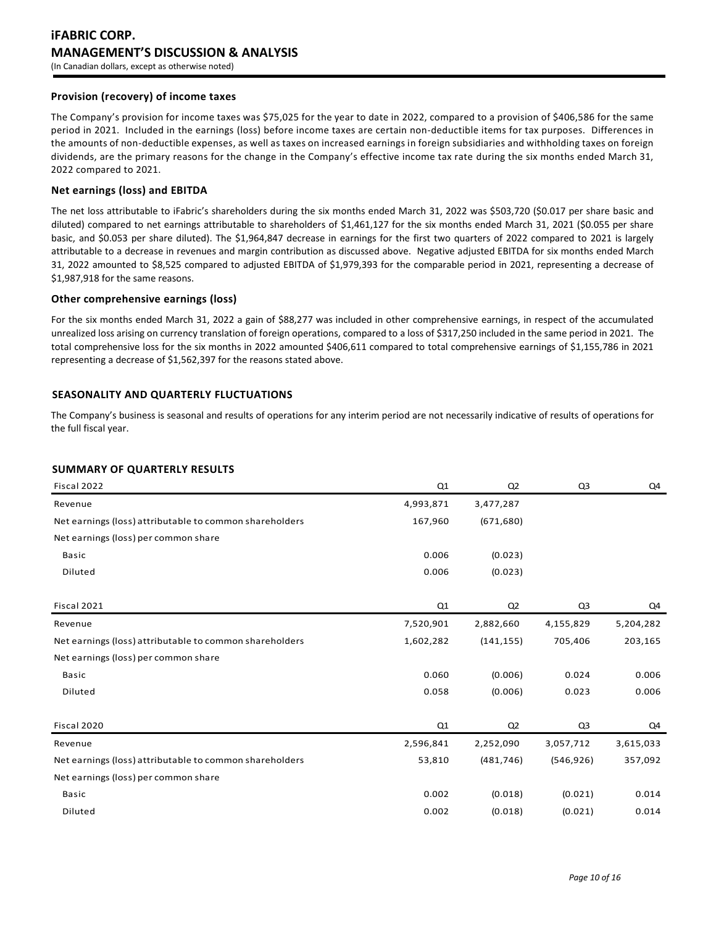# **iFABRIC CORP. MANAGEMENT'S DISCUSSION & ANALYSIS** (In Canadian dollars, except as otherwise noted)

## **Provision (recovery) of income taxes**

The Company's provision for income taxes was \$75,025 for the year to date in 2022, compared to a provision of \$406,586 for the same period in 2021. Included in the earnings (loss) before income taxes are certain non-deductible items for tax purposes. Differences in the amounts of non-deductible expenses, as well as taxes on increased earnings in foreign subsidiaries and withholding taxes on foreign dividends, are the primary reasons for the change in the Company's effective income tax rate during the six months ended March 31, 2022 compared to 2021.

#### **Net earnings (loss) and EBITDA**

The net loss attributable to iFabric's shareholders during the six months ended March 31, 2022 was \$503,720 (\$0.017 per share basic and diluted) compared to net earnings attributable to shareholders of \$1,461,127 for the six months ended March 31, 2021 (\$0.055 per share basic, and \$0.053 per share diluted). The \$1,964,847 decrease in earnings for the first two quarters of 2022 compared to 2021 is largely attributable to a decrease in revenues and margin contribution as discussed above. Negative adjusted EBITDA for six months ended March 31, 2022 amounted to \$8,525 compared to adjusted EBITDA of \$1,979,393 for the comparable period in 2021, representing a decrease of \$1,987,918 for the same reasons.

## **Other comprehensive earnings (loss)**

For the six months ended March 31, 2022 a gain of \$88,277 was included in other comprehensive earnings, in respect of the accumulated unrealized loss arising on currency translation of foreign operations, compared to a loss of \$317,250 included in the same period in 2021. The total comprehensive loss for the six months in 2022 amounted \$406,611 compared to total comprehensive earnings of \$1,155,786 in 2021 representing a decrease of \$1,562,397 for the reasons stated above.

# **SEASONALITY AND QUARTERLY FLUCTUATIONS**

The Company's business is seasonal and results of operations for any interim period are not necessarily indicative of results of operations for the full fiscal year.

# **SUMMARY OF QUARTERLY RESULTS**

| Fiscal 2022                                             | Q1        | Q2             | Q <sub>3</sub> | Q4        |
|---------------------------------------------------------|-----------|----------------|----------------|-----------|
| Revenue                                                 | 4,993,871 | 3,477,287      |                |           |
| Net earnings (loss) attributable to common shareholders | 167,960   | (671, 680)     |                |           |
| Net earnings (loss) per common share                    |           |                |                |           |
| Basic                                                   | 0.006     | (0.023)        |                |           |
| Diluted                                                 | 0.006     | (0.023)        |                |           |
|                                                         |           |                |                |           |
| Fiscal 2021                                             | Q1        | Q <sub>2</sub> | Q <sub>3</sub> | Q4        |
| Revenue                                                 | 7,520,901 | 2,882,660      | 4,155,829      | 5,204,282 |
| Net earnings (loss) attributable to common shareholders | 1,602,282 | (141, 155)     | 705,406        | 203,165   |
| Net earnings (loss) per common share                    |           |                |                |           |
| <b>Basic</b>                                            | 0.060     | (0.006)        | 0.024          | 0.006     |
| Diluted                                                 | 0.058     | (0.006)        | 0.023          | 0.006     |
|                                                         |           |                |                |           |
| Fiscal 2020                                             | Q1        | Q2             | Q <sub>3</sub> | Q4        |
| Revenue                                                 | 2,596,841 | 2,252,090      | 3,057,712      | 3,615,033 |
| Net earnings (loss) attributable to common shareholders | 53,810    | (481, 746)     | (546, 926)     | 357,092   |
| Net earnings (loss) per common share                    |           |                |                |           |
| Basic                                                   | 0.002     | (0.018)        | (0.021)        | 0.014     |
| Diluted                                                 | 0.002     | (0.018)        | (0.021)        | 0.014     |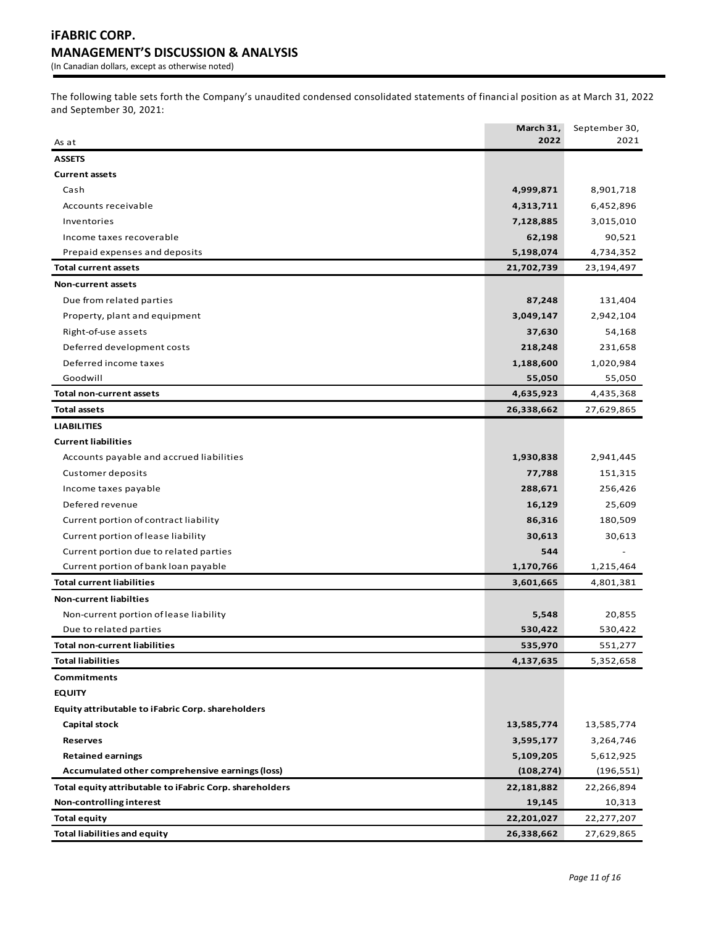The following table sets forth the Company's unaudited condensed consolidated statements of financi al position as at March 31, 2022 and September 30, 2021:

|                                                         | March 31,  | September 30, |
|---------------------------------------------------------|------------|---------------|
| As at                                                   | 2022       | 2021          |
| <b>ASSETS</b>                                           |            |               |
| <b>Current assets</b>                                   |            |               |
| Cash                                                    | 4,999,871  | 8,901,718     |
| Accounts receivable                                     | 4,313,711  | 6,452,896     |
| Inventories                                             | 7,128,885  | 3,015,010     |
| Income taxes recoverable                                | 62,198     | 90,521        |
| Prepaid expenses and deposits                           | 5,198,074  | 4,734,352     |
| <b>Total current assets</b>                             | 21,702,739 | 23,194,497    |
| <b>Non-current assets</b>                               |            |               |
| Due from related parties                                | 87,248     | 131,404       |
| Property, plant and equipment                           | 3,049,147  | 2,942,104     |
| Right-of-use assets                                     | 37,630     | 54,168        |
| Deferred development costs                              | 218,248    | 231,658       |
| Deferred income taxes                                   | 1,188,600  | 1,020,984     |
| Goodwill                                                | 55,050     | 55,050        |
| <b>Total non-current assets</b>                         | 4,635,923  | 4,435,368     |
| <b>Total assets</b>                                     | 26,338,662 | 27,629,865    |
| <b>LIABILITIES</b>                                      |            |               |
| <b>Current liabilities</b>                              |            |               |
| Accounts payable and accrued liabilities                | 1,930,838  | 2,941,445     |
| Customer deposits                                       | 77,788     | 151,315       |
| Income taxes payable                                    | 288,671    | 256,426       |
| Defered revenue                                         | 16,129     | 25,609        |
| Current portion of contract liability                   | 86,316     | 180,509       |
| Current portion of lease liability                      | 30,613     | 30,613        |
| Current portion due to related parties                  | 544        |               |
| Current portion of bank loan payable                    | 1,170,766  | 1,215,464     |
| <b>Total current liabilities</b>                        | 3,601,665  | 4,801,381     |
| <b>Non-current liabilties</b>                           |            |               |
| Non-current portion of lease liability                  | 5,548      | 20,855        |
| Due to related parties                                  | 530,422    | 530,422       |
| Total non-current liabilities                           | 535,970    | 551,277       |
| <b>Total liabilities</b>                                | 4,137,635  | 5,352,658     |
| Commitments                                             |            |               |
| <b>EQUITY</b>                                           |            |               |
| Equity attributable to iFabric Corp. shareholders       |            |               |
| <b>Capital stock</b>                                    | 13,585,774 | 13,585,774    |
| <b>Reserves</b>                                         | 3,595,177  | 3,264,746     |
| <b>Retained earnings</b>                                | 5,109,205  | 5,612,925     |
| Accumulated other comprehensive earnings (loss)         | (108, 274) | (196, 551)    |
| Total equity attributable to iFabric Corp. shareholders | 22,181,882 | 22,266,894    |
| Non-controlling interest                                | 19,145     | 10,313        |
| <b>Total equity</b>                                     | 22,201,027 | 22,277,207    |
| <b>Total liabilities and equity</b>                     | 26,338,662 | 27,629,865    |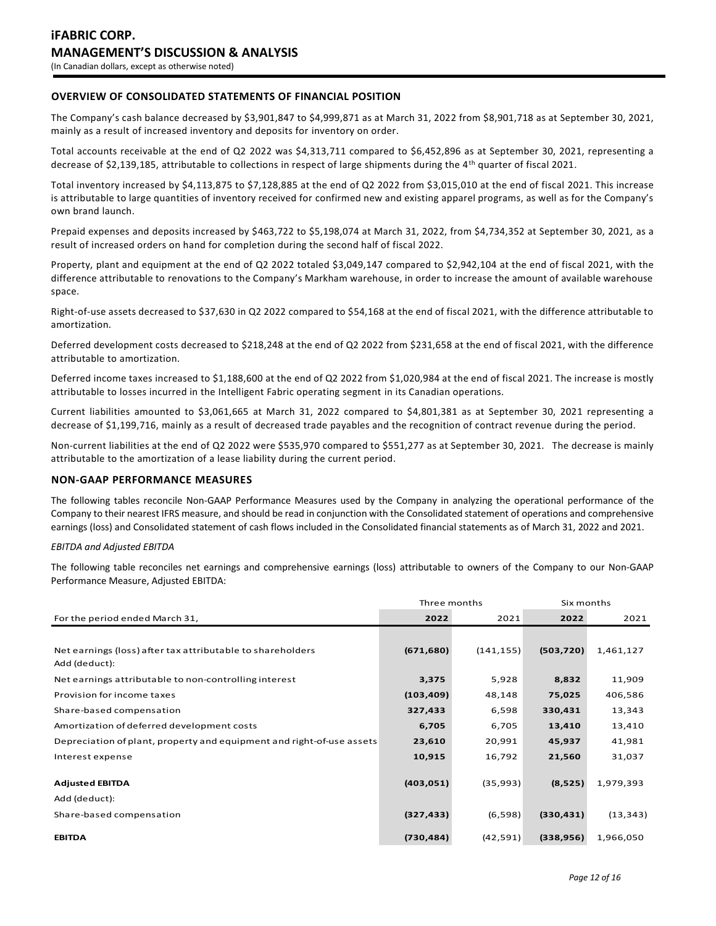# **OVERVIEW OF CONSOLIDATED STATEMENTS OF FINANCIAL POSITION**

The Company's cash balance decreased by \$3,901,847 to \$4,999,871 as at March 31, 2022 from \$8,901,718 as at September 30, 2021, mainly as a result of increased inventory and deposits for inventory on order.

Total accounts receivable at the end of Q2 2022 was \$4,313,711 compared to \$6,452,896 as at September 30, 2021, representing a decrease of \$2,139,185, attributable to collections in respect of large shipments during the 4th quarter of fiscal 2021.

Total inventory increased by \$4,113,875 to \$7,128,885 at the end of Q2 2022 from \$3,015,010 at the end of fiscal 2021. This increase is attributable to large quantities of inventory received for confirmed new and existing apparel programs, as well as for the Company's own brand launch.

Prepaid expenses and deposits increased by \$463,722 to \$5,198,074 at March 31, 2022, from \$4,734,352 at September 30, 2021, as a result of increased orders on hand for completion during the second half of fiscal 2022.

Property, plant and equipment at the end of Q2 2022 totaled \$3,049,147 compared to \$2,942,104 at the end of fiscal 2021, with the difference attributable to renovations to the Company's Markham warehouse, in order to increase the amount of available warehouse space.

Right-of-use assets decreased to \$37,630 in Q2 2022 compared to \$54,168 at the end of fiscal 2021, with the difference attributable to amortization.

Deferred development costs decreased to \$218,248 at the end of Q2 2022 from \$231,658 at the end of fiscal 2021, with the difference attributable to amortization.

Deferred income taxes increased to \$1,188,600 at the end of Q2 2022 from \$1,020,984 at the end of fiscal 2021. The increase is mostly attributable to losses incurred in the Intelligent Fabric operating segment in its Canadian operations.

Current liabilities amounted to \$3,061,665 at March 31, 2022 compared to \$4,801,381 as at September 30, 2021 representing a decrease of \$1,199,716, mainly as a result of decreased trade payables and the recognition of contract revenue during the period.

Non-current liabilities at the end of Q2 2022 were \$535,970 compared to \$551,277 as at September 30, 2021. The decrease is mainly attributable to the amortization of a lease liability during the current period.

#### **NON-GAAP PERFORMANCE MEASURES**

The following tables reconcile Non-GAAP Performance Measures used by the Company in analyzing the operational performance of the Company to their nearest IFRS measure, and should be read in conjunction with the Consolidated statement of operations and comprehensive earnings (loss) and Consolidated statement of cash flows included in the Consolidated financial statements as of March 31, 2022 and 2021.

#### *EBITDA and Adjusted EBITDA*

The following table reconciles net earnings and comprehensive earnings (loss) attributable to owners of the Company to our Non-GAAP Performance Measure, Adjusted EBITDA:

|                                                                       | Three months |            | Six months |           |
|-----------------------------------------------------------------------|--------------|------------|------------|-----------|
| For the period ended March 31,                                        | 2022         | 2021       | 2022       | 2021      |
|                                                                       |              |            |            |           |
| Net earnings (loss) after tax attributable to shareholders            | (671, 680)   | (141, 155) | (503, 720) | 1,461,127 |
| Add (deduct):                                                         |              |            |            |           |
| Net earnings attributable to non-controlling interest                 | 3,375        | 5,928      | 8,832      | 11,909    |
| Provision for income taxes                                            | (103, 409)   | 48,148     | 75,025     | 406,586   |
| Share-based compensation                                              | 327,433      | 6,598      | 330,431    | 13,343    |
| Amortization of deferred development costs                            | 6,705        | 6,705      | 13,410     | 13,410    |
| Depreciation of plant, property and equipment and right-of-use assets | 23,610       | 20,991     | 45,937     | 41,981    |
| Interest expense                                                      | 10,915       | 16,792     | 21,560     | 31,037    |
|                                                                       |              |            |            |           |
| <b>Adjusted EBITDA</b>                                                | (403, 051)   | (35,993)   | (8,525)    | 1,979,393 |
| Add (deduct):                                                         |              |            |            |           |
| Share-based compensation                                              | (327, 433)   | (6,598)    | (330, 431) | (13, 343) |
| <b>EBITDA</b>                                                         | (730, 484)   | (42, 591)  | (338, 956) | 1,966,050 |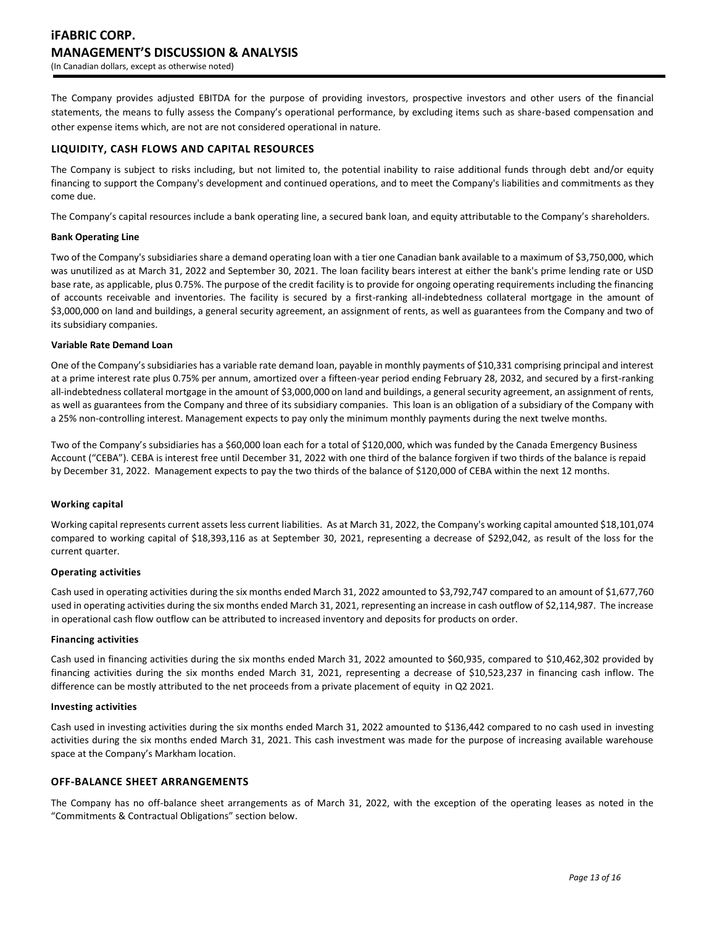The Company provides adjusted EBITDA for the purpose of providing investors, prospective investors and other users of the financial statements, the means to fully assess the Company's operational performance, by excluding items such as share-based compensation and other expense items which, are not are not considered operational in nature.

## **LIQUIDITY, CASH FLOWS AND CAPITAL RESOURCES**

The Company is subject to risks including, but not limited to, the potential inability to raise additional funds through debt and/or equity financing to support the Company's development and continued operations, and to meet the Company's liabilities and commitments as they come due.

The Company's capital resources include a bank operating line, a secured bank loan, and equity attributable to the Company's shareholders.

#### **Bank Operating Line**

Two of the Company's subsidiaries share a demand operating loan with a tier one Canadian bank available to a maximum of \$3,750,000, which was unutilized as at March 31, 2022 and September 30, 2021. The loan facility bears interest at either the bank's prime lending rate or USD base rate, as applicable, plus 0.75%. The purpose of the credit facility is to provide for ongoing operating requirements including the financing of accounts receivable and inventories. The facility is secured by a first-ranking all-indebtedness collateral mortgage in the amount of \$3,000,000 on land and buildings, a general security agreement, an assignment of rents, as well as guarantees from the Company and two of its subsidiary companies.

#### **Variable Rate Demand Loan**

One of the Company's subsidiaries has a variable rate demand loan, payable in monthly payments of \$10,331 comprising principal and interest at a prime interest rate plus 0.75% per annum, amortized over a fifteen-year period ending February 28, 2032, and secured by a first-ranking all-indebtedness collateral mortgage in the amount of \$3,000,000 on land and buildings, a general security agreement, an assignment of rents, as well as guarantees from the Company and three of its subsidiary companies. This loan is an obligation of a subsidiary of the Company with a 25% non-controlling interest. Management expects to pay only the minimum monthly payments during the next twelve months.

Two of the Company's subsidiaries has a \$60,000 loan each for a total of \$120,000, which was funded by the Canada Emergency Business Account ("CEBA"). CEBA is interest free until December 31, 2022 with one third of the balance forgiven if two thirds of the balance is repaid by December 31, 2022. Management expects to pay the two thirds of the balance of \$120,000 of CEBA within the next 12 months.

#### **Working capital**

Working capital represents current assets less current liabilities. As at March 31, 2022, the Company's working capital amounted \$18,101,074 compared to working capital of \$18,393,116 as at September 30, 2021, representing a decrease of \$292,042, as result of the loss for the current quarter.

#### **Operating activities**

Cash used in operating activities during the six months ended March 31, 2022 amounted to \$3,792,747 compared to an amount of \$1,677,760 used in operating activities during the six months ended March 31, 2021, representing an increase in cash outflow of \$2,114,987. The increase in operational cash flow outflow can be attributed to increased inventory and deposits for products on order.

#### **Financing activities**

Cash used in financing activities during the six months ended March 31, 2022 amounted to \$60,935, compared to \$10,462,302 provided by financing activities during the six months ended March 31, 2021, representing a decrease of \$10,523,237 in financing cash inflow. The difference can be mostly attributed to the net proceeds from a private placement of equity in Q2 2021.

#### **Investing activities**

Cash used in investing activities during the six months ended March 31, 2022 amounted to \$136,442 compared to no cash used in investing activities during the six months ended March 31, 2021. This cash investment was made for the purpose of increasing available warehouse space at the Company's Markham location.

## **OFF-BALANCE SHEET ARRANGEMENTS**

The Company has no off-balance sheet arrangements as of March 31, 2022, with the exception of the operating leases as noted in the "Commitments & Contractual Obligations" section below.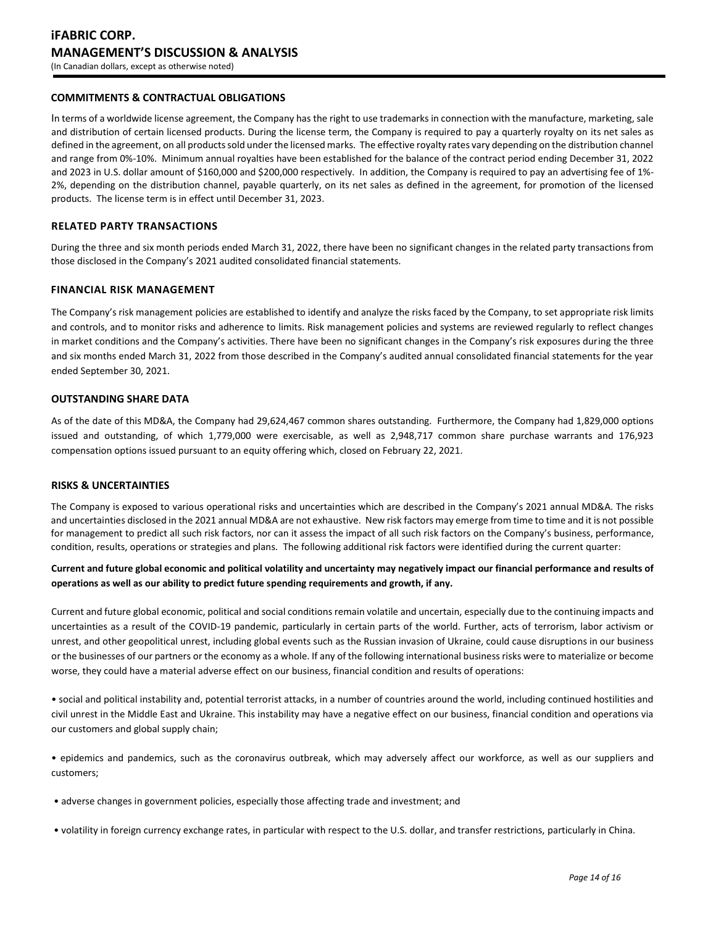## **COMMITMENTS & CONTRACTUAL OBLIGATIONS**

In terms of a worldwide license agreement, the Company has the right to use trademarks in connection with the manufacture, marketing, sale and distribution of certain licensed products. During the license term, the Company is required to pay a quarterly royalty on its net sales as defined in the agreement, on all products sold under the licensed marks. The effective royalty rates vary depending on the distribution channel and range from 0%-10%. Minimum annual royalties have been established for the balance of the contract period ending December 31, 2022 and 2023 in U.S. dollar amount of \$160,000 and \$200,000 respectively. In addition, the Company is required to pay an advertising fee of 1%-2%, depending on the distribution channel, payable quarterly, on its net sales as defined in the agreement, for promotion of the licensed products. The license term is in effect until December 31, 2023.

#### **RELATED PARTY TRANSACTIONS**

During the three and six month periods ended March 31, 2022, there have been no significant changes in the related party transactions from those disclosed in the Company's 2021 audited consolidated financial statements.

#### **FINANCIAL RISK MANAGEMENT**

The Company's risk management policies are established to identify and analyze the risks faced by the Company, to set appropriate risk limits and controls, and to monitor risks and adherence to limits. Risk management policies and systems are reviewed regularly to reflect changes in market conditions and the Company's activities. There have been no significant changes in the Company's risk exposures during the three and six months ended March 31, 2022 from those described in the Company's audited annual consolidated financial statements for the year ended September 30, 2021.

#### **OUTSTANDING SHARE DATA**

As of the date of this MD&A, the Company had 29,624,467 common shares outstanding. Furthermore, the Company had 1,829,000 options issued and outstanding, of which 1,779,000 were exercisable, as well as 2,948,717 common share purchase warrants and 176,923 compensation options issued pursuant to an equity offering which, closed on February 22, 2021.

#### **RISKS & UNCERTAINTIES**

The Company is exposed to various operational risks and uncertainties which are described in the Company's 2021 annual MD&A. The risks and uncertainties disclosed in the 2021 annual MD&A are not exhaustive. New risk factors may emerge from time to time and it is not possible for management to predict all such risk factors, nor can it assess the impact of all such risk factors on the Company's business, performance, condition, results, operations or strategies and plans. The following additional risk factors were identified during the current quarter:

# **Current and future global economic and political volatility and uncertainty may negatively impact our financial performance and results of operations as well as our ability to predict future spending requirements and growth, if any.**

Current and future global economic, political and social conditions remain volatile and uncertain, especially due to the continuing impacts and uncertainties as a result of the COVID-19 pandemic, particularly in certain parts of the world. Further, acts of terrorism, labor activism or unrest, and other geopolitical unrest, including global events such as the Russian invasion of Ukraine, could cause disruptions in our business or the businesses of our partners or the economy as a whole. If any of the following international business risks were to materialize or become worse, they could have a material adverse effect on our business, financial condition and results of operations:

• social and political instability and, potential terrorist attacks, in a number of countries around the world, including continued hostilities and civil unrest in the Middle East and Ukraine. This instability may have a negative effect on our business, financial condition and operations via our customers and global supply chain;

• epidemics and pandemics, such as the coronavirus outbreak, which may adversely affect our workforce, as well as our suppliers and customers;

- adverse changes in government policies, especially those affecting trade and investment; and
- volatility in foreign currency exchange rates, in particular with respect to the U.S. dollar, and transfer restrictions, particularly in China.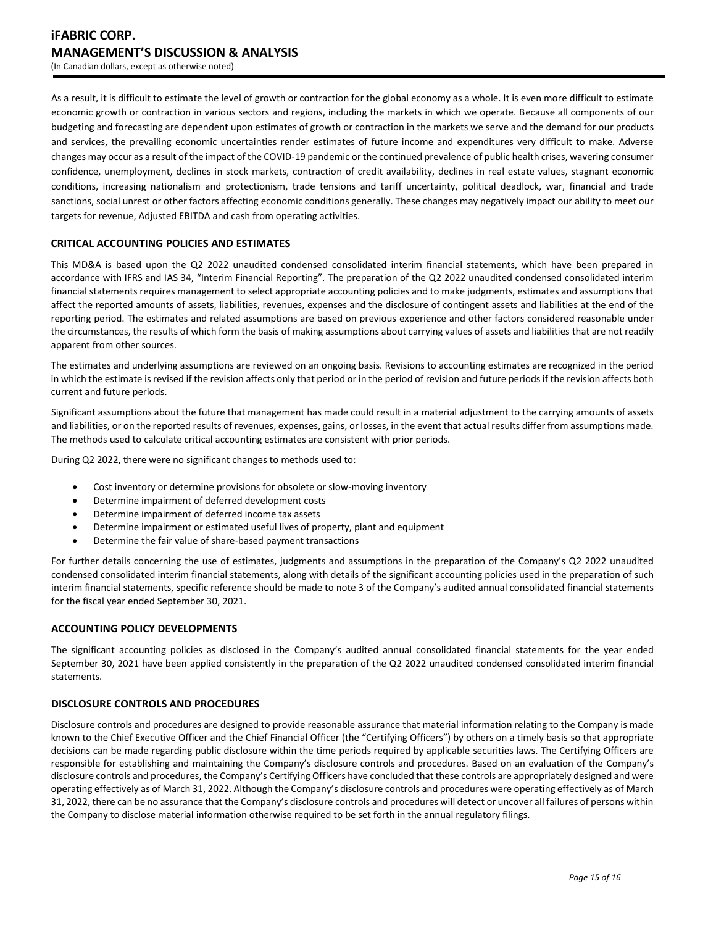As a result, it is difficult to estimate the level of growth or contraction for the global economy as a whole. It is even more difficult to estimate economic growth or contraction in various sectors and regions, including the markets in which we operate. Because all components of our budgeting and forecasting are dependent upon estimates of growth or contraction in the markets we serve and the demand for our products and services, the prevailing economic uncertainties render estimates of future income and expenditures very difficult to make. Adverse changes may occur as a result of the impact of the COVID-19 pandemic or the continued prevalence of public health crises, wavering consumer confidence, unemployment, declines in stock markets, contraction of credit availability, declines in real estate values, stagnant economic conditions, increasing nationalism and protectionism, trade tensions and tariff uncertainty, political deadlock, war, financial and trade sanctions, social unrest or other factors affecting economic conditions generally. These changes may negatively impact our ability to meet our targets for revenue, Adjusted EBITDA and cash from operating activities.

# **CRITICAL ACCOUNTING POLICIES AND ESTIMATES**

This MD&A is based upon the Q2 2022 unaudited condensed consolidated interim financial statements, which have been prepared in accordance with IFRS and IAS 34, "Interim Financial Reporting". The preparation of the Q2 2022 unaudited condensed consolidated interim financial statements requires management to select appropriate accounting policies and to make judgments, estimates and assumptions that affect the reported amounts of assets, liabilities, revenues, expenses and the disclosure of contingent assets and liabilities at the end of the reporting period. The estimates and related assumptions are based on previous experience and other factors considered reasonable under the circumstances, the results of which form the basis of making assumptions about carrying values of assets and liabilities that are not readily apparent from other sources.

The estimates and underlying assumptions are reviewed on an ongoing basis. Revisions to accounting estimates are recognized in the period in which the estimate is revised if the revision affects only that period or in the period of revision and future periods if the revision affects both current and future periods.

Significant assumptions about the future that management has made could result in a material adjustment to the carrying amounts of assets and liabilities, or on the reported results of revenues, expenses, gains, or losses, in the event that actual results differ from assumptions made. The methods used to calculate critical accounting estimates are consistent with prior periods.

During Q2 2022, there were no significant changes to methods used to:

- Cost inventory or determine provisions for obsolete or slow-moving inventory
- Determine impairment of deferred development costs
- Determine impairment of deferred income tax assets
- Determine impairment or estimated useful lives of property, plant and equipment
- Determine the fair value of share-based payment transactions

For further details concerning the use of estimates, judgments and assumptions in the preparation of the Company's Q2 2022 unaudited condensed consolidated interim financial statements, along with details of the significant accounting policies used in the preparation of such interim financial statements, specific reference should be made to note 3 of the Company's audited annual consolidated financial statements for the fiscal year ended September 30, 2021.

#### **ACCOUNTING POLICY DEVELOPMENTS**

The significant accounting policies as disclosed in the Company's audited annual consolidated financial statements for the year ended September 30, 2021 have been applied consistently in the preparation of the Q2 2022 unaudited condensed consolidated interim financial statements.

#### **DISCLOSURE CONTROLS AND PROCEDURES**

Disclosure controls and procedures are designed to provide reasonable assurance that material information relating to the Company is made known to the Chief Executive Officer and the Chief Financial Officer (the "Certifying Officers") by others on a timely basis so that appropriate decisions can be made regarding public disclosure within the time periods required by applicable securities laws. The Certifying Officers are responsible for establishing and maintaining the Company's disclosure controls and procedures. Based on an evaluation of the Company's disclosure controls and procedures, the Company's Certifying Officers have concluded that these controls are appropriately designed and were operating effectively as of March 31, 2022. Although the Company's disclosure controls and procedures were operating effectively as of March 31, 2022, there can be no assurance that the Company's disclosure controls and procedures will detect or uncover all failures of persons within the Company to disclose material information otherwise required to be set forth in the annual regulatory filings.